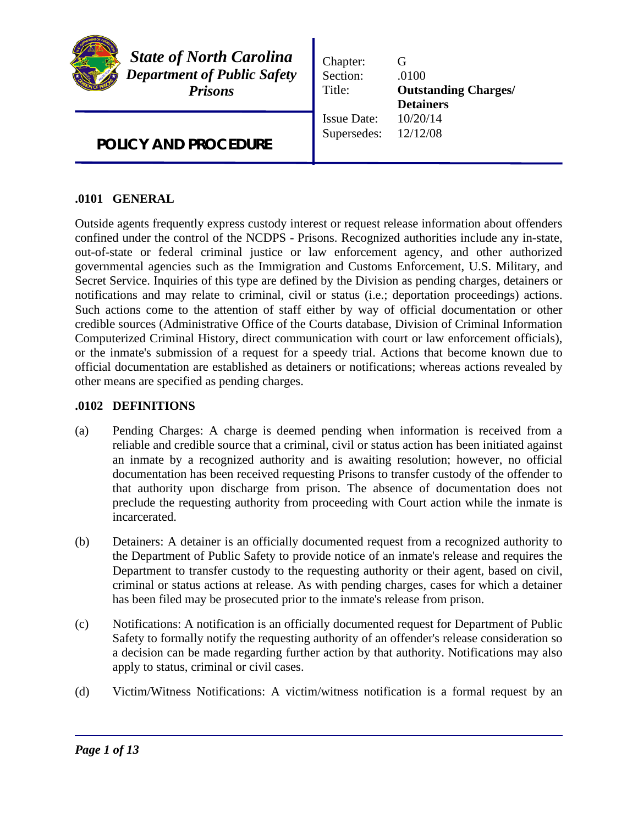

*State of North Carolina Department of Public Safety Prisons*

Chapter: G Section: .0100 Title: **Outstanding Charges/ Detainers** Issue Date: 10/20/14 Supersedes: 12/12/08

*POLICY AND PROCEDURE* 

# **.0101 GENERAL**

Outside agents frequently express custody interest or request release information about offenders confined under the control of the NCDPS - Prisons. Recognized authorities include any in-state, out-of-state or federal criminal justice or law enforcement agency, and other authorized governmental agencies such as the Immigration and Customs Enforcement, U.S. Military, and Secret Service. Inquiries of this type are defined by the Division as pending charges, detainers or notifications and may relate to criminal, civil or status (i.e.; deportation proceedings) actions. Such actions come to the attention of staff either by way of official documentation or other credible sources (Administrative Office of the Courts database, Division of Criminal Information Computerized Criminal History, direct communication with court or law enforcement officials), or the inmate's submission of a request for a speedy trial. Actions that become known due to official documentation are established as detainers or notifications; whereas actions revealed by other means are specified as pending charges.

## **.0102 DEFINITIONS**

- (a) Pending Charges: A charge is deemed pending when information is received from a reliable and credible source that a criminal, civil or status action has been initiated against an inmate by a recognized authority and is awaiting resolution; however, no official documentation has been received requesting Prisons to transfer custody of the offender to that authority upon discharge from prison. The absence of documentation does not preclude the requesting authority from proceeding with Court action while the inmate is incarcerated.
- (b) Detainers: A detainer is an officially documented request from a recognized authority to the Department of Public Safety to provide notice of an inmate's release and requires the Department to transfer custody to the requesting authority or their agent, based on civil, criminal or status actions at release. As with pending charges, cases for which a detainer has been filed may be prosecuted prior to the inmate's release from prison.
- (c) Notifications: A notification is an officially documented request for Department of Public Safety to formally notify the requesting authority of an offender's release consideration so a decision can be made regarding further action by that authority. Notifications may also apply to status, criminal or civil cases.
- (d) Victim/Witness Notifications: A victim/witness notification is a formal request by an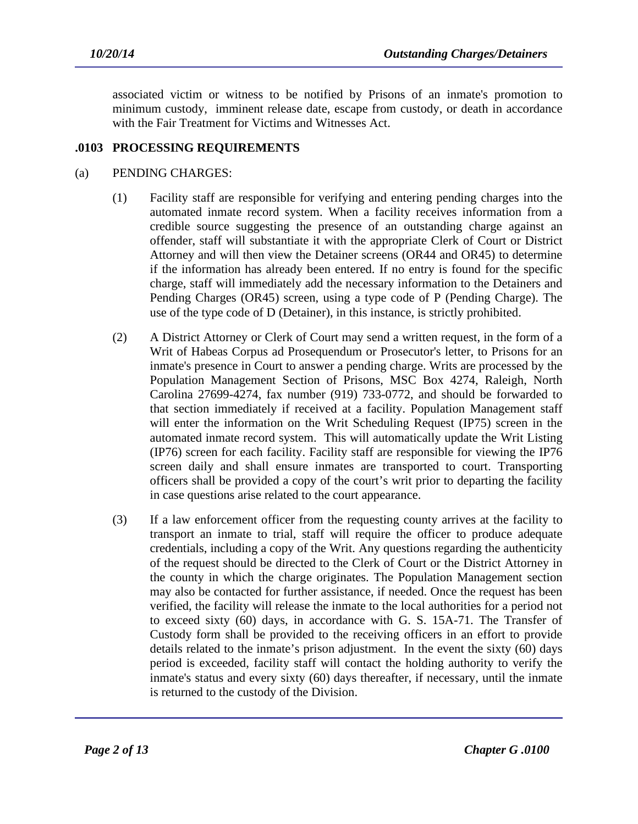associated victim or witness to be notified by Prisons of an inmate's promotion to minimum custody, imminent release date, escape from custody, or death in accordance with the Fair Treatment for Victims and Witnesses Act.

## **.0103 PROCESSING REQUIREMENTS**

#### (a) PENDING CHARGES:

- (1) Facility staff are responsible for verifying and entering pending charges into the automated inmate record system. When a facility receives information from a credible source suggesting the presence of an outstanding charge against an offender, staff will substantiate it with the appropriate Clerk of Court or District Attorney and will then view the Detainer screens (OR44 and OR45) to determine if the information has already been entered. If no entry is found for the specific charge, staff will immediately add the necessary information to the Detainers and Pending Charges (OR45) screen, using a type code of P (Pending Charge). The use of the type code of D (Detainer), in this instance, is strictly prohibited.
- (2) A District Attorney or Clerk of Court may send a written request, in the form of a Writ of Habeas Corpus ad Prosequendum or Prosecutor's letter, to Prisons for an inmate's presence in Court to answer a pending charge. Writs are processed by the Population Management Section of Prisons, MSC Box 4274, Raleigh, North Carolina 27699-4274, fax number (919) 733-0772, and should be forwarded to that section immediately if received at a facility. Population Management staff will enter the information on the Writ Scheduling Request (IP75) screen in the automated inmate record system. This will automatically update the Writ Listing (IP76) screen for each facility. Facility staff are responsible for viewing the IP76 screen daily and shall ensure inmates are transported to court. Transporting officers shall be provided a copy of the court's writ prior to departing the facility in case questions arise related to the court appearance.
- (3) If a law enforcement officer from the requesting county arrives at the facility to transport an inmate to trial, staff will require the officer to produce adequate credentials, including a copy of the Writ. Any questions regarding the authenticity of the request should be directed to the Clerk of Court or the District Attorney in the county in which the charge originates. The Population Management section may also be contacted for further assistance, if needed. Once the request has been verified, the facility will release the inmate to the local authorities for a period not to exceed sixty (60) days, in accordance with G. S. 15A-71. The Transfer of Custody form shall be provided to the receiving officers in an effort to provide details related to the inmate's prison adjustment. In the event the sixty (60) days period is exceeded, facility staff will contact the holding authority to verify the inmate's status and every sixty (60) days thereafter, if necessary, until the inmate is returned to the custody of the Division.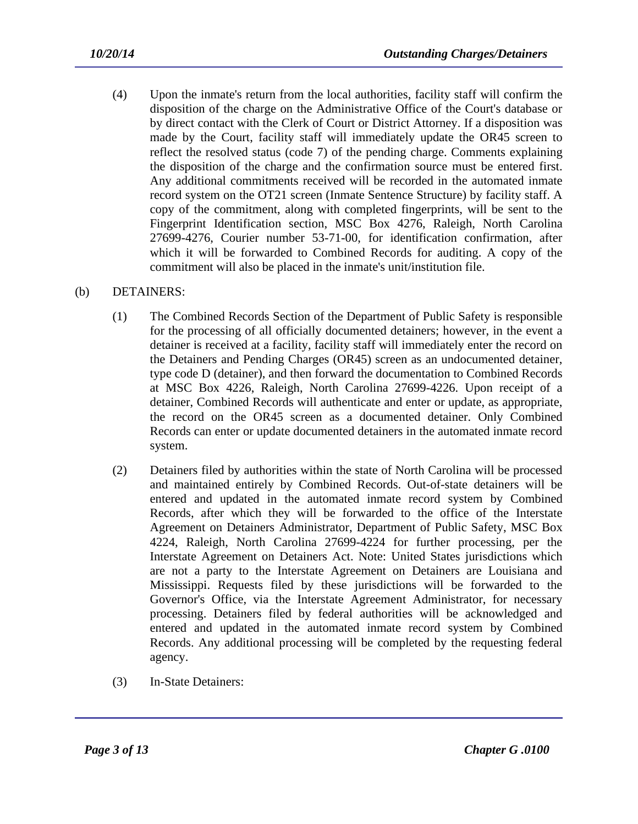- (4) Upon the inmate's return from the local authorities, facility staff will confirm the disposition of the charge on the Administrative Office of the Court's database or by direct contact with the Clerk of Court or District Attorney. If a disposition was made by the Court, facility staff will immediately update the OR45 screen to reflect the resolved status (code 7) of the pending charge. Comments explaining the disposition of the charge and the confirmation source must be entered first. Any additional commitments received will be recorded in the automated inmate record system on the OT21 screen (Inmate Sentence Structure) by facility staff. A copy of the commitment, along with completed fingerprints, will be sent to the Fingerprint Identification section, MSC Box 4276, Raleigh, North Carolina 27699-4276, Courier number 53-71-00, for identification confirmation, after which it will be forwarded to Combined Records for auditing. A copy of the commitment will also be placed in the inmate's unit/institution file.
- (b) DETAINERS:
	- (1) The Combined Records Section of the Department of Public Safety is responsible for the processing of all officially documented detainers; however, in the event a detainer is received at a facility, facility staff will immediately enter the record on the Detainers and Pending Charges (OR45) screen as an undocumented detainer, type code D (detainer), and then forward the documentation to Combined Records at MSC Box 4226, Raleigh, North Carolina 27699-4226. Upon receipt of a detainer, Combined Records will authenticate and enter or update, as appropriate, the record on the OR45 screen as a documented detainer. Only Combined Records can enter or update documented detainers in the automated inmate record system.
	- (2) Detainers filed by authorities within the state of North Carolina will be processed and maintained entirely by Combined Records. Out-of-state detainers will be entered and updated in the automated inmate record system by Combined Records, after which they will be forwarded to the office of the Interstate Agreement on Detainers Administrator, Department of Public Safety, MSC Box 4224, Raleigh, North Carolina 27699-4224 for further processing, per the Interstate Agreement on Detainers Act. Note: United States jurisdictions which are not a party to the Interstate Agreement on Detainers are Louisiana and Mississippi. Requests filed by these jurisdictions will be forwarded to the Governor's Office, via the Interstate Agreement Administrator, for necessary processing. Detainers filed by federal authorities will be acknowledged and entered and updated in the automated inmate record system by Combined Records. Any additional processing will be completed by the requesting federal agency.
	- (3) In-State Detainers: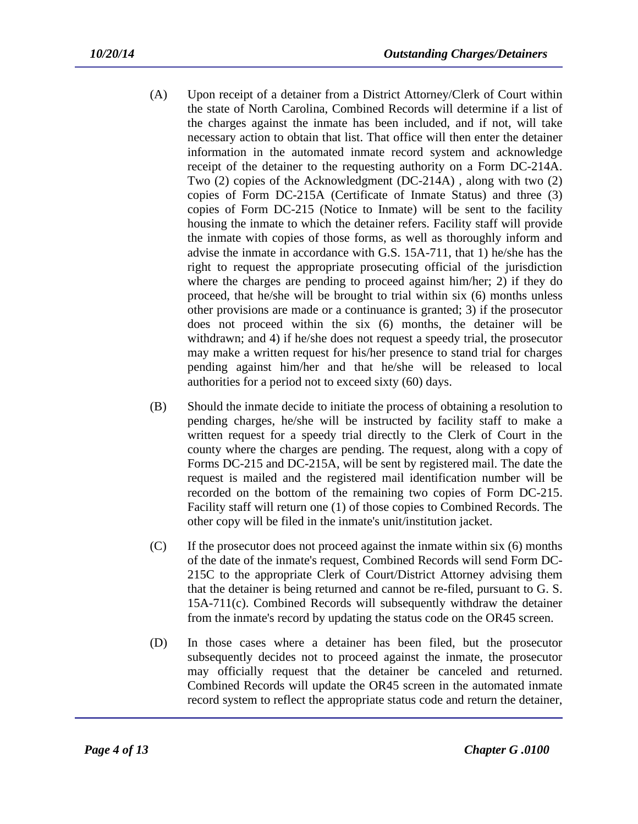- (A) Upon receipt of a detainer from a District Attorney/Clerk of Court within the state of North Carolina, Combined Records will determine if a list of the charges against the inmate has been included, and if not, will take necessary action to obtain that list. That office will then enter the detainer information in the automated inmate record system and acknowledge receipt of the detainer to the requesting authority on a Form DC-214A. Two (2) copies of the Acknowledgment (DC-214A) , along with two (2) copies of Form DC-215A (Certificate of Inmate Status) and three (3) copies of Form DC-215 (Notice to Inmate) will be sent to the facility housing the inmate to which the detainer refers. Facility staff will provide the inmate with copies of those forms, as well as thoroughly inform and advise the inmate in accordance with G.S. 15A-711, that 1) he/she has the right to request the appropriate prosecuting official of the jurisdiction where the charges are pending to proceed against him/her; 2) if they do proceed, that he/she will be brought to trial within six (6) months unless other provisions are made or a continuance is granted; 3) if the prosecutor does not proceed within the six (6) months, the detainer will be withdrawn; and 4) if he/she does not request a speedy trial, the prosecutor may make a written request for his/her presence to stand trial for charges pending against him/her and that he/she will be released to local authorities for a period not to exceed sixty (60) days.
- (B) Should the inmate decide to initiate the process of obtaining a resolution to pending charges, he/she will be instructed by facility staff to make a written request for a speedy trial directly to the Clerk of Court in the county where the charges are pending. The request, along with a copy of Forms DC-215 and DC-215A, will be sent by registered mail. The date the request is mailed and the registered mail identification number will be recorded on the bottom of the remaining two copies of Form DC-215. Facility staff will return one (1) of those copies to Combined Records. The other copy will be filed in the inmate's unit/institution jacket.
- (C) If the prosecutor does not proceed against the inmate within six (6) months of the date of the inmate's request, Combined Records will send Form DC-215C to the appropriate Clerk of Court/District Attorney advising them that the detainer is being returned and cannot be re-filed, pursuant to G. S. 15A-711(c). Combined Records will subsequently withdraw the detainer from the inmate's record by updating the status code on the OR45 screen.
- (D) In those cases where a detainer has been filed, but the prosecutor subsequently decides not to proceed against the inmate, the prosecutor may officially request that the detainer be canceled and returned. Combined Records will update the OR45 screen in the automated inmate record system to reflect the appropriate status code and return the detainer,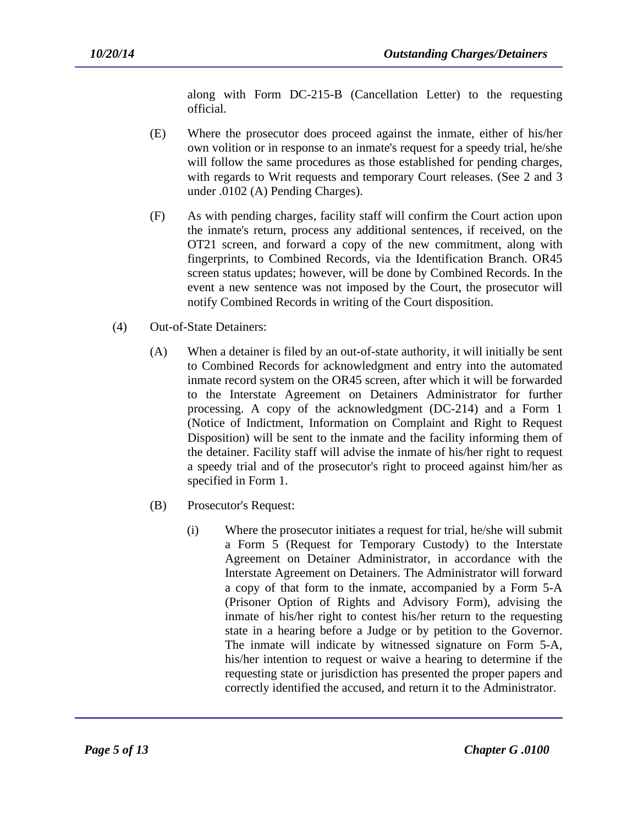along with Form DC-215-B (Cancellation Letter) to the requesting official.

- (E) Where the prosecutor does proceed against the inmate, either of his/her own volition or in response to an inmate's request for a speedy trial, he/she will follow the same procedures as those established for pending charges, with regards to Writ requests and temporary Court releases. (See 2 and 3 under .0102 (A) Pending Charges).
- (F) As with pending charges, facility staff will confirm the Court action upon the inmate's return, process any additional sentences, if received, on the OT21 screen, and forward a copy of the new commitment, along with fingerprints, to Combined Records, via the Identification Branch. OR45 screen status updates; however, will be done by Combined Records. In the event a new sentence was not imposed by the Court, the prosecutor will notify Combined Records in writing of the Court disposition.
- (4) Out-of-State Detainers:
	- (A) When a detainer is filed by an out-of-state authority, it will initially be sent to Combined Records for acknowledgment and entry into the automated inmate record system on the OR45 screen, after which it will be forwarded to the Interstate Agreement on Detainers Administrator for further processing. A copy of the acknowledgment (DC-214) and a Form 1 (Notice of Indictment, Information on Complaint and Right to Request Disposition) will be sent to the inmate and the facility informing them of the detainer. Facility staff will advise the inmate of his/her right to request a speedy trial and of the prosecutor's right to proceed against him/her as specified in Form 1.
	- (B) Prosecutor's Request:
		- (i) Where the prosecutor initiates a request for trial, he/she will submit a Form 5 (Request for Temporary Custody) to the Interstate Agreement on Detainer Administrator, in accordance with the Interstate Agreement on Detainers. The Administrator will forward a copy of that form to the inmate, accompanied by a Form 5-A (Prisoner Option of Rights and Advisory Form), advising the inmate of his/her right to contest his/her return to the requesting state in a hearing before a Judge or by petition to the Governor. The inmate will indicate by witnessed signature on Form 5-A, his/her intention to request or waive a hearing to determine if the requesting state or jurisdiction has presented the proper papers and correctly identified the accused, and return it to the Administrator.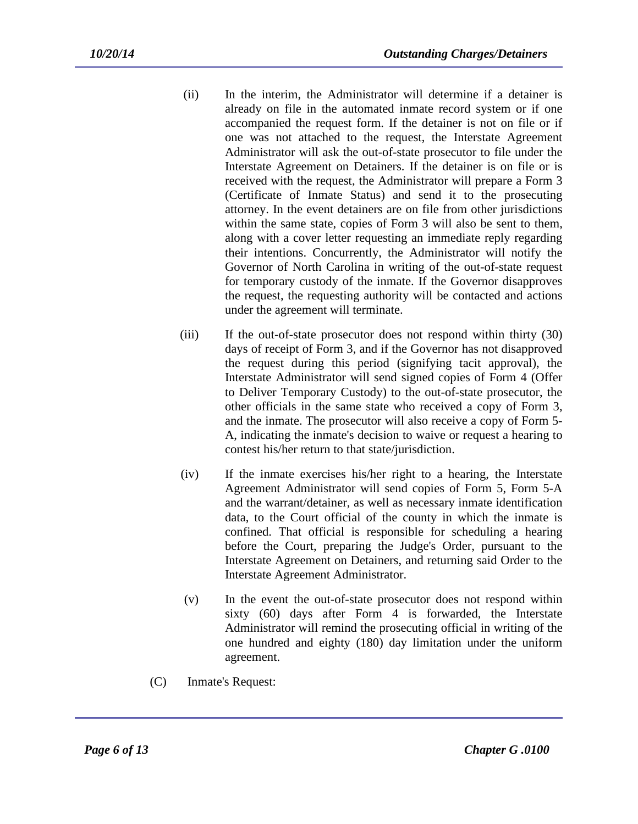- (ii) In the interim, the Administrator will determine if a detainer is already on file in the automated inmate record system or if one accompanied the request form. If the detainer is not on file or if one was not attached to the request, the Interstate Agreement Administrator will ask the out-of-state prosecutor to file under the Interstate Agreement on Detainers. If the detainer is on file or is received with the request, the Administrator will prepare a Form 3 (Certificate of Inmate Status) and send it to the prosecuting attorney. In the event detainers are on file from other jurisdictions within the same state, copies of Form 3 will also be sent to them, along with a cover letter requesting an immediate reply regarding their intentions. Concurrently, the Administrator will notify the Governor of North Carolina in writing of the out-of-state request for temporary custody of the inmate. If the Governor disapproves the request, the requesting authority will be contacted and actions under the agreement will terminate.
- (iii) If the out-of-state prosecutor does not respond within thirty (30) days of receipt of Form 3, and if the Governor has not disapproved the request during this period (signifying tacit approval), the Interstate Administrator will send signed copies of Form 4 (Offer to Deliver Temporary Custody) to the out-of-state prosecutor, the other officials in the same state who received a copy of Form 3, and the inmate. The prosecutor will also receive a copy of Form 5- A, indicating the inmate's decision to waive or request a hearing to contest his/her return to that state/jurisdiction.
- (iv) If the inmate exercises his/her right to a hearing, the Interstate Agreement Administrator will send copies of Form 5, Form 5-A and the warrant/detainer, as well as necessary inmate identification data, to the Court official of the county in which the inmate is confined. That official is responsible for scheduling a hearing before the Court, preparing the Judge's Order, pursuant to the Interstate Agreement on Detainers, and returning said Order to the Interstate Agreement Administrator.
- (v) In the event the out-of-state prosecutor does not respond within sixty (60) days after Form 4 is forwarded, the Interstate Administrator will remind the prosecuting official in writing of the one hundred and eighty (180) day limitation under the uniform agreement.
- (C) Inmate's Request: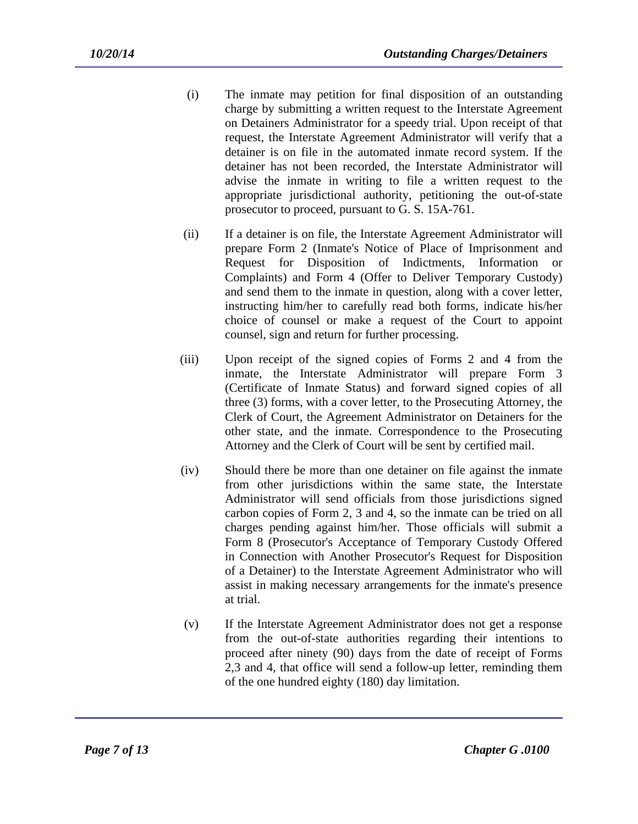- (i) The inmate may petition for final disposition of an outstanding charge by submitting a written request to the Interstate Agreement on Detainers Administrator for a speedy trial. Upon receipt of that request, the Interstate Agreement Administrator will verify that a detainer is on file in the automated inmate record system. If the detainer has not been recorded, the Interstate Administrator will advise the inmate in writing to file a written request to the appropriate jurisdictional authority, petitioning the out-of-state prosecutor to proceed, pursuant to G. S. 15A-761.
- (ii) If a detainer is on file, the Interstate Agreement Administrator will prepare Form 2 (Inmate's Notice of Place of Imprisonment and Request for Disposition of Indictments, Information or Complaints) and Form 4 (Offer to Deliver Temporary Custody) and send them to the inmate in question, along with a cover letter, instructing him/her to carefully read both forms, indicate his/her choice of counsel or make a request of the Court to appoint counsel, sign and return for further processing.
- (iii) Upon receipt of the signed copies of Forms 2 and 4 from the inmate, the Interstate Administrator will prepare Form 3 (Certificate of Inmate Status) and forward signed copies of all three (3) forms, with a cover letter, to the Prosecuting Attorney, the Clerk of Court, the Agreement Administrator on Detainers for the other state, and the inmate. Correspondence to the Prosecuting Attorney and the Clerk of Court will be sent by certified mail.
- (iv) Should there be more than one detainer on file against the inmate from other jurisdictions within the same state, the Interstate Administrator will send officials from those jurisdictions signed carbon copies of Form 2, 3 and 4, so the inmate can be tried on all charges pending against him/her. Those officials will submit a Form 8 (Prosecutor's Acceptance of Temporary Custody Offered in Connection with Another Prosecutor's Request for Disposition of a Detainer) to the Interstate Agreement Administrator who will assist in making necessary arrangements for the inmate's presence at trial.
- (v) If the Interstate Agreement Administrator does not get a response from the out-of-state authorities regarding their intentions to proceed after ninety (90) days from the date of receipt of Forms 2,3 and 4, that office will send a follow-up letter, reminding them of the one hundred eighty (180) day limitation.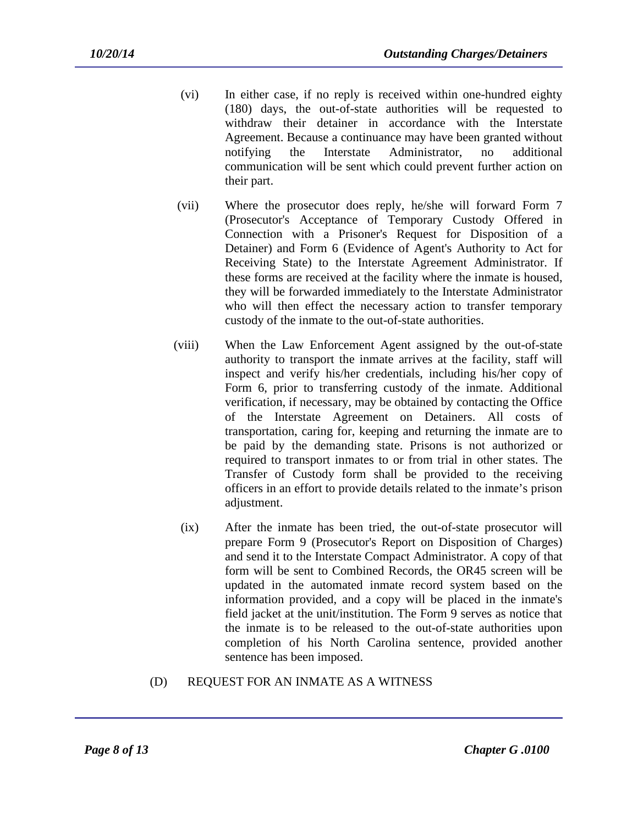- (vi) In either case, if no reply is received within one-hundred eighty (180) days, the out-of-state authorities will be requested to withdraw their detainer in accordance with the Interstate Agreement. Because a continuance may have been granted without notifying the Interstate Administrator, no additional communication will be sent which could prevent further action on their part.
- (vii) Where the prosecutor does reply, he/she will forward Form 7 (Prosecutor's Acceptance of Temporary Custody Offered in Connection with a Prisoner's Request for Disposition of a Detainer) and Form 6 (Evidence of Agent's Authority to Act for Receiving State) to the Interstate Agreement Administrator. If these forms are received at the facility where the inmate is housed, they will be forwarded immediately to the Interstate Administrator who will then effect the necessary action to transfer temporary custody of the inmate to the out-of-state authorities.
- (viii) When the Law Enforcement Agent assigned by the out-of-state authority to transport the inmate arrives at the facility, staff will inspect and verify his/her credentials, including his/her copy of Form 6, prior to transferring custody of the inmate. Additional verification, if necessary, may be obtained by contacting the Office of the Interstate Agreement on Detainers. All costs of transportation, caring for, keeping and returning the inmate are to be paid by the demanding state. Prisons is not authorized or required to transport inmates to or from trial in other states. The Transfer of Custody form shall be provided to the receiving officers in an effort to provide details related to the inmate's prison adjustment.
	- (ix) After the inmate has been tried, the out-of-state prosecutor will prepare Form 9 (Prosecutor's Report on Disposition of Charges) and send it to the Interstate Compact Administrator. A copy of that form will be sent to Combined Records, the OR45 screen will be updated in the automated inmate record system based on the information provided, and a copy will be placed in the inmate's field jacket at the unit/institution. The Form 9 serves as notice that the inmate is to be released to the out-of-state authorities upon completion of his North Carolina sentence, provided another sentence has been imposed.
- (D) REQUEST FOR AN INMATE AS A WITNESS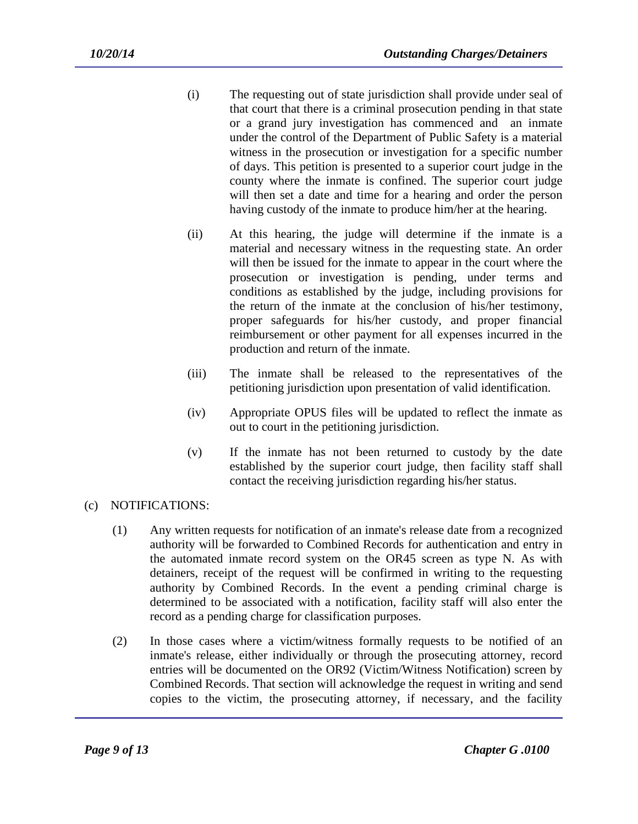- (i) The requesting out of state jurisdiction shall provide under seal of that court that there is a criminal prosecution pending in that state or a grand jury investigation has commenced and an inmate under the control of the Department of Public Safety is a material witness in the prosecution or investigation for a specific number of days. This petition is presented to a superior court judge in the county where the inmate is confined. The superior court judge will then set a date and time for a hearing and order the person having custody of the inmate to produce him/her at the hearing.
- (ii) At this hearing, the judge will determine if the inmate is a material and necessary witness in the requesting state. An order will then be issued for the inmate to appear in the court where the prosecution or investigation is pending, under terms and conditions as established by the judge, including provisions for the return of the inmate at the conclusion of his/her testimony, proper safeguards for his/her custody, and proper financial reimbursement or other payment for all expenses incurred in the production and return of the inmate.
- (iii) The inmate shall be released to the representatives of the petitioning jurisdiction upon presentation of valid identification.
- (iv) Appropriate OPUS files will be updated to reflect the inmate as out to court in the petitioning jurisdiction.
- (v) If the inmate has not been returned to custody by the date established by the superior court judge, then facility staff shall contact the receiving jurisdiction regarding his/her status.
- (c) NOTIFICATIONS:
	- (1) Any written requests for notification of an inmate's release date from a recognized authority will be forwarded to Combined Records for authentication and entry in the automated inmate record system on the OR45 screen as type N. As with detainers, receipt of the request will be confirmed in writing to the requesting authority by Combined Records. In the event a pending criminal charge is determined to be associated with a notification, facility staff will also enter the record as a pending charge for classification purposes.
	- (2) In those cases where a victim/witness formally requests to be notified of an inmate's release, either individually or through the prosecuting attorney, record entries will be documented on the OR92 (Victim/Witness Notification) screen by Combined Records. That section will acknowledge the request in writing and send copies to the victim, the prosecuting attorney, if necessary, and the facility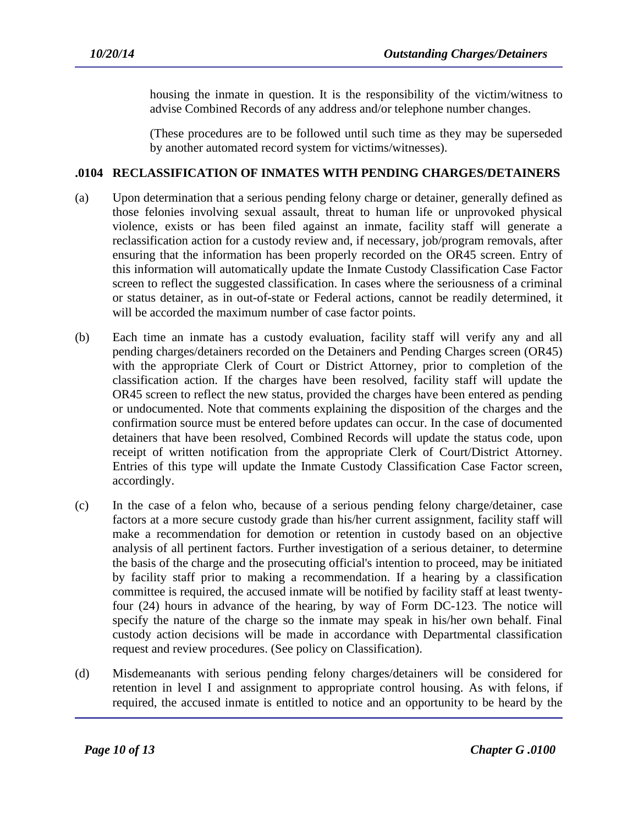housing the inmate in question. It is the responsibility of the victim/witness to advise Combined Records of any address and/or telephone number changes.

(These procedures are to be followed until such time as they may be superseded by another automated record system for victims/witnesses).

## **.0104 RECLASSIFICATION OF INMATES WITH PENDING CHARGES/DETAINERS**

- (a) Upon determination that a serious pending felony charge or detainer, generally defined as those felonies involving sexual assault, threat to human life or unprovoked physical violence, exists or has been filed against an inmate, facility staff will generate a reclassification action for a custody review and, if necessary, job/program removals, after ensuring that the information has been properly recorded on the OR45 screen. Entry of this information will automatically update the Inmate Custody Classification Case Factor screen to reflect the suggested classification. In cases where the seriousness of a criminal or status detainer, as in out-of-state or Federal actions, cannot be readily determined, it will be accorded the maximum number of case factor points.
- (b) Each time an inmate has a custody evaluation, facility staff will verify any and all pending charges/detainers recorded on the Detainers and Pending Charges screen (OR45) with the appropriate Clerk of Court or District Attorney, prior to completion of the classification action. If the charges have been resolved, facility staff will update the OR45 screen to reflect the new status, provided the charges have been entered as pending or undocumented. Note that comments explaining the disposition of the charges and the confirmation source must be entered before updates can occur. In the case of documented detainers that have been resolved, Combined Records will update the status code, upon receipt of written notification from the appropriate Clerk of Court/District Attorney. Entries of this type will update the Inmate Custody Classification Case Factor screen, accordingly.
- (c) In the case of a felon who, because of a serious pending felony charge/detainer, case factors at a more secure custody grade than his/her current assignment, facility staff will make a recommendation for demotion or retention in custody based on an objective analysis of all pertinent factors. Further investigation of a serious detainer, to determine the basis of the charge and the prosecuting official's intention to proceed, may be initiated by facility staff prior to making a recommendation. If a hearing by a classification committee is required, the accused inmate will be notified by facility staff at least twentyfour (24) hours in advance of the hearing, by way of Form DC-123. The notice will specify the nature of the charge so the inmate may speak in his/her own behalf. Final custody action decisions will be made in accordance with Departmental classification request and review procedures. (See policy on Classification).
- (d) Misdemeanants with serious pending felony charges/detainers will be considered for retention in level I and assignment to appropriate control housing. As with felons, if required, the accused inmate is entitled to notice and an opportunity to be heard by the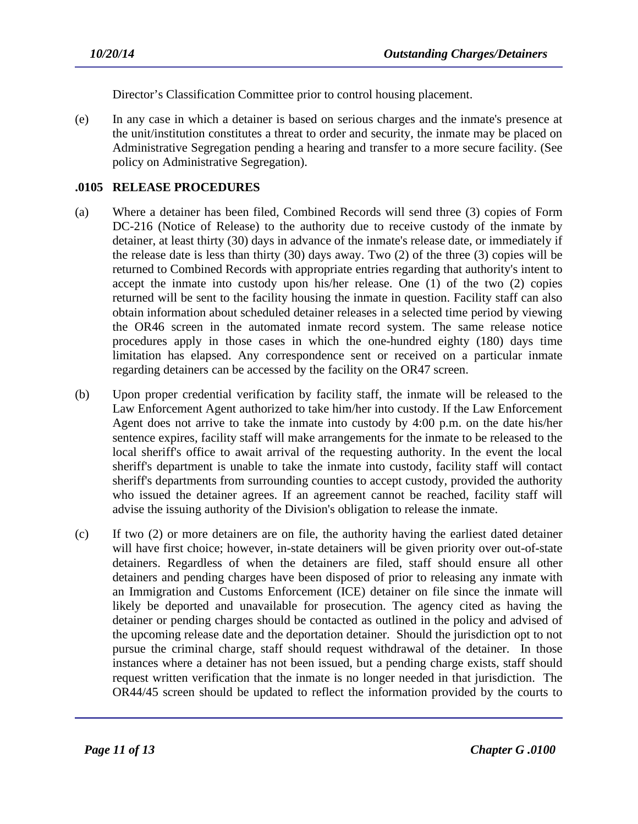Director's Classification Committee prior to control housing placement.

(e) In any case in which a detainer is based on serious charges and the inmate's presence at the unit/institution constitutes a threat to order and security, the inmate may be placed on Administrative Segregation pending a hearing and transfer to a more secure facility. (See policy on Administrative Segregation).

### **.0105 RELEASE PROCEDURES**

- (a) Where a detainer has been filed, Combined Records will send three (3) copies of Form DC-216 (Notice of Release) to the authority due to receive custody of the inmate by detainer, at least thirty (30) days in advance of the inmate's release date, or immediately if the release date is less than thirty (30) days away. Two (2) of the three (3) copies will be returned to Combined Records with appropriate entries regarding that authority's intent to accept the inmate into custody upon his/her release. One (1) of the two (2) copies returned will be sent to the facility housing the inmate in question. Facility staff can also obtain information about scheduled detainer releases in a selected time period by viewing the OR46 screen in the automated inmate record system. The same release notice procedures apply in those cases in which the one-hundred eighty (180) days time limitation has elapsed. Any correspondence sent or received on a particular inmate regarding detainers can be accessed by the facility on the OR47 screen.
- (b) Upon proper credential verification by facility staff, the inmate will be released to the Law Enforcement Agent authorized to take him/her into custody. If the Law Enforcement Agent does not arrive to take the inmate into custody by 4:00 p.m. on the date his/her sentence expires, facility staff will make arrangements for the inmate to be released to the local sheriff's office to await arrival of the requesting authority. In the event the local sheriff's department is unable to take the inmate into custody, facility staff will contact sheriff's departments from surrounding counties to accept custody, provided the authority who issued the detainer agrees. If an agreement cannot be reached, facility staff will advise the issuing authority of the Division's obligation to release the inmate.
- (c) If two (2) or more detainers are on file, the authority having the earliest dated detainer will have first choice; however, in-state detainers will be given priority over out-of-state detainers. Regardless of when the detainers are filed, staff should ensure all other detainers and pending charges have been disposed of prior to releasing any inmate with an Immigration and Customs Enforcement (ICE) detainer on file since the inmate will likely be deported and unavailable for prosecution. The agency cited as having the detainer or pending charges should be contacted as outlined in the policy and advised of the upcoming release date and the deportation detainer. Should the jurisdiction opt to not pursue the criminal charge, staff should request withdrawal of the detainer. In those instances where a detainer has not been issued, but a pending charge exists, staff should request written verification that the inmate is no longer needed in that jurisdiction. The OR44/45 screen should be updated to reflect the information provided by the courts to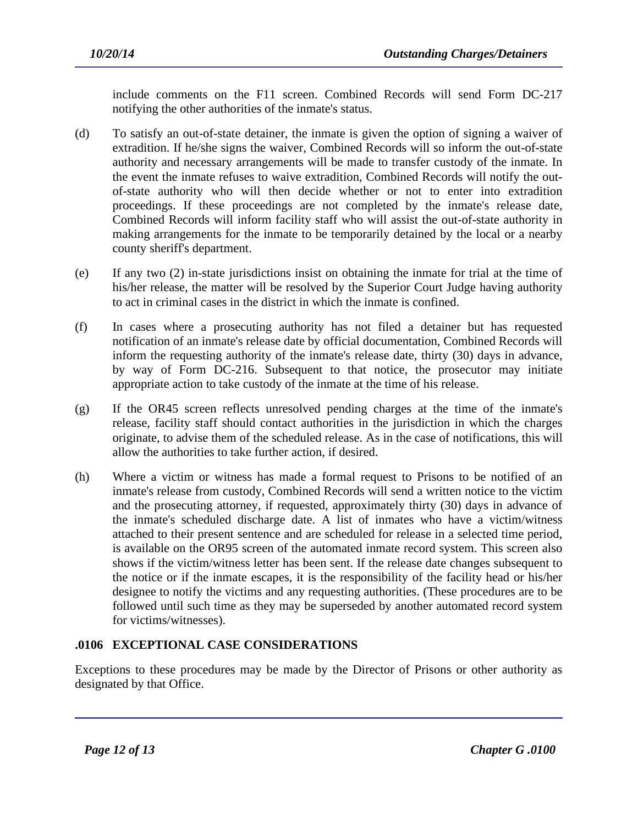include comments on the F11 screen. Combined Records will send Form DC-217 notifying the other authorities of the inmate's status.

- (d) To satisfy an out-of-state detainer, the inmate is given the option of signing a waiver of extradition. If he/she signs the waiver, Combined Records will so inform the out-of-state authority and necessary arrangements will be made to transfer custody of the inmate. In the event the inmate refuses to waive extradition, Combined Records will notify the outof-state authority who will then decide whether or not to enter into extradition proceedings. If these proceedings are not completed by the inmate's release date, Combined Records will inform facility staff who will assist the out-of-state authority in making arrangements for the inmate to be temporarily detained by the local or a nearby county sheriff's department.
- (e) If any two (2) in-state jurisdictions insist on obtaining the inmate for trial at the time of his/her release, the matter will be resolved by the Superior Court Judge having authority to act in criminal cases in the district in which the inmate is confined.
- (f) In cases where a prosecuting authority has not filed a detainer but has requested notification of an inmate's release date by official documentation, Combined Records will inform the requesting authority of the inmate's release date, thirty (30) days in advance, by way of Form DC-216. Subsequent to that notice, the prosecutor may initiate appropriate action to take custody of the inmate at the time of his release.
- (g) If the OR45 screen reflects unresolved pending charges at the time of the inmate's release, facility staff should contact authorities in the jurisdiction in which the charges originate, to advise them of the scheduled release. As in the case of notifications, this will allow the authorities to take further action, if desired.
- (h) Where a victim or witness has made a formal request to Prisons to be notified of an inmate's release from custody, Combined Records will send a written notice to the victim and the prosecuting attorney, if requested, approximately thirty (30) days in advance of the inmate's scheduled discharge date. A list of inmates who have a victim/witness attached to their present sentence and are scheduled for release in a selected time period, is available on the OR95 screen of the automated inmate record system. This screen also shows if the victim/witness letter has been sent. If the release date changes subsequent to the notice or if the inmate escapes, it is the responsibility of the facility head or his/her designee to notify the victims and any requesting authorities. (These procedures are to be followed until such time as they may be superseded by another automated record system for victims/witnesses).

## **.0106 EXCEPTIONAL CASE CONSIDERATIONS**

Exceptions to these procedures may be made by the Director of Prisons or other authority as designated by that Office.